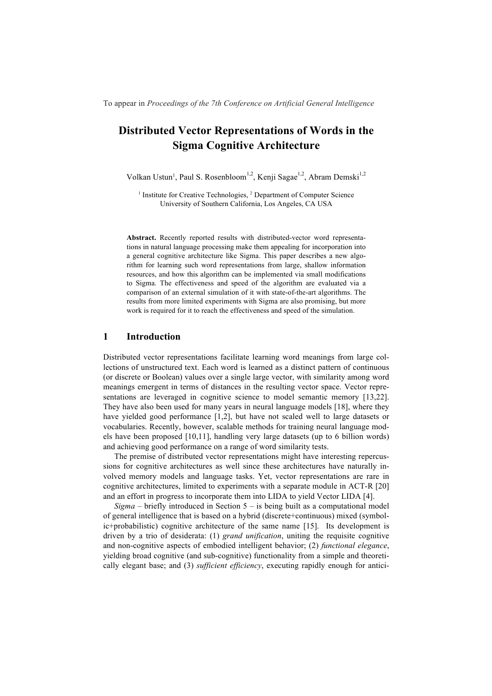# **Distributed Vector Representations of Words in the Sigma Cognitive Architecture**

Volkan Ustun<sup>1</sup>, Paul S. Rosenbloom<sup>1,2</sup>, Kenji Sagae<sup>1,2</sup>, Abram Demski<sup>1,2</sup>

<sup>1</sup> Institute for Creative Technologies, <sup>2</sup> Department of Computer Science University of Southern California, Los Angeles, CA USA

**Abstract.** Recently reported results with distributed-vector word representations in natural language processing make them appealing for incorporation into a general cognitive architecture like Sigma. This paper describes a new algorithm for learning such word representations from large, shallow information resources, and how this algorithm can be implemented via small modifications to Sigma. The effectiveness and speed of the algorithm are evaluated via a comparison of an external simulation of it with state-of-the-art algorithms. The results from more limited experiments with Sigma are also promising, but more work is required for it to reach the effectiveness and speed of the simulation.

#### **1 Introduction**

Distributed vector representations facilitate learning word meanings from large collections of unstructured text. Each word is learned as a distinct pattern of continuous (or discrete or Boolean) values over a single large vector, with similarity among word meanings emergent in terms of distances in the resulting vector space. Vector representations are leveraged in cognitive science to model semantic memory [13,22]. They have also been used for many years in neural language models [18], where they have yielded good performance [1,2], but have not scaled well to large datasets or vocabularies. Recently, however, scalable methods for training neural language models have been proposed [10,11], handling very large datasets (up to 6 billion words) and achieving good performance on a range of word similarity tests.

The premise of distributed vector representations might have interesting repercussions for cognitive architectures as well since these architectures have naturally involved memory models and language tasks. Yet, vector representations are rare in cognitive architectures, limited to experiments with a separate module in ACT-R [20] and an effort in progress to incorporate them into LIDA to yield Vector LIDA [4].

*Sigma* – briefly introduced in Section 5 – is being built as a computational model of general intelligence that is based on a hybrid (discrete+continuous) mixed (symbolic+probabilistic) cognitive architecture of the same name [15]. Its development is driven by a trio of desiderata: (1) *grand unification*, uniting the requisite cognitive and non-cognitive aspects of embodied intelligent behavior; (2) *functional elegance*, yielding broad cognitive (and sub-cognitive) functionality from a simple and theoretically elegant base; and (3) *sufficient efficiency*, executing rapidly enough for antici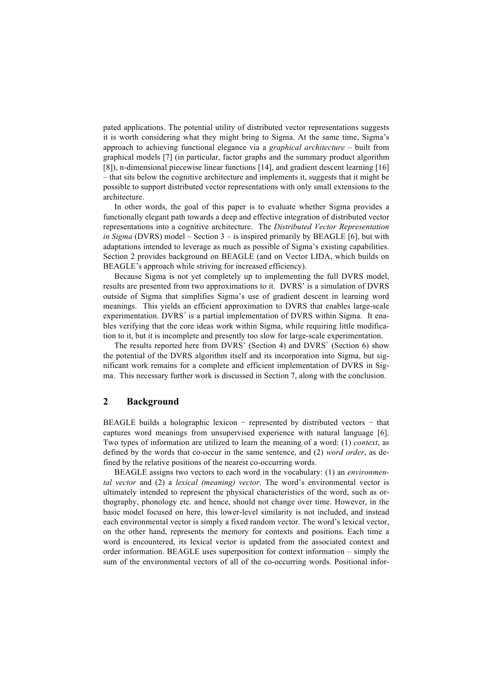pated applications. The potential utility of distributed vector representations suggests it is worth considering what they might bring to Sigma. At the same time, Sigma's approach to achieving functional elegance via a *graphical architecture* – built from graphical models [7] (in particular, factor graphs and the summary product algorithm [8]), n-dimensional piecewise linear functions [14], and gradient descent learning [16] – that sits below the cognitive architecture and implements it, suggests that it might be possible to support distributed vector representations with only small extensions to the architecture.

In other words, the goal of this paper is to evaluate whether Sigma provides a functionally elegant path towards a deep and effective integration of distributed vector representations into a cognitive architecture. The *Distributed Vector Representation in Sigma* (DVRS) model – Section 3 – is inspired primarily by BEAGLE [6], but with adaptations intended to leverage as much as possible of Sigma's existing capabilities. Section 2 provides background on BEAGLE (and on Vector LIDA, which builds on BEAGLE's approach while striving for increased efficiency).

Because Sigma is not yet completely up to implementing the full DVRS model, results are presented from two approximations to it. DVRS' is a simulation of DVRS outside of Sigma that simplifies Sigma's use of gradient descent in learning word meanings. This yields an efficient approximation to DVRS that enables large-scale experimentation.  $DVRS^+$  is a partial implementation of DVRS within Sigma. It enables verifying that the core ideas work within Sigma, while requiring little modification to it, but it is incomplete and presently too slow for large-scale experimentation.

The results reported here from DVRS' (Section 4) and  $DVRS<sup>+</sup>$  (Section 6) show the potential of the DVRS algorithm itself and its incorporation into Sigma, but significant work remains for a complete and efficient implementation of DVRS in Sigma. This necessary further work is discussed in Section 7, along with the conclusion.

#### **2 Background**

BEAGLE builds a holographic lexicon − represented by distributed vectors − that captures word meanings from unsupervised experience with natural language [6]. Two types of information are utilized to learn the meaning of a word: (1) *context*, as defined by the words that co-occur in the same sentence, and (2) *word order*, as defined by the relative positions of the nearest co-occurring words.

BEAGLE assigns two vectors to each word in the vocabulary: (1) an *environmental vector* and (2) a *lexical (meaning) vector*. The word's environmental vector is ultimately intended to represent the physical characteristics of the word, such as orthography, phonology etc. and hence, should not change over time. However, in the basic model focused on here, this lower-level similarity is not included, and instead each environmental vector is simply a fixed random vector. The word's lexical vector, on the other hand, represents the memory for contexts and positions. Each time a word is encountered, its lexical vector is updated from the associated context and order information. BEAGLE uses superposition for context information – simply the sum of the environmental vectors of all of the co-occurring words. Positional infor-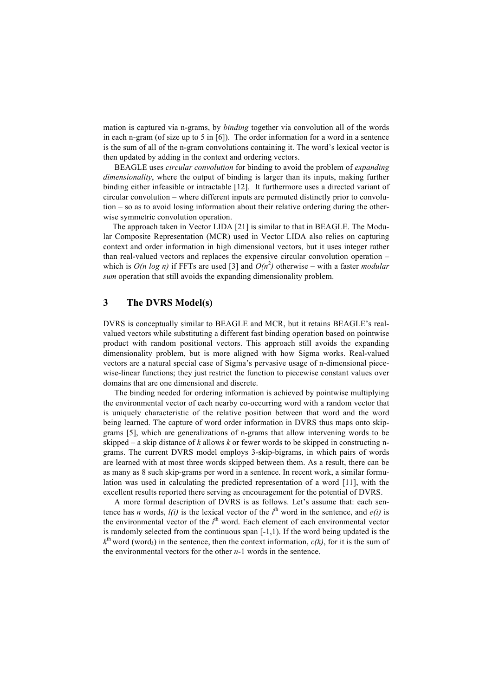mation is captured via n-grams, by *binding* together via convolution all of the words in each n-gram (of size up to 5 in [6]). The order information for a word in a sentence is the sum of all of the n-gram convolutions containing it. The word's lexical vector is then updated by adding in the context and ordering vectors.

BEAGLE uses *circular convolution* for binding to avoid the problem of *expanding dimensionality*, where the output of binding is larger than its inputs, making further binding either infeasible or intractable [12]. It furthermore uses a directed variant of circular convolution – where different inputs are permuted distinctly prior to convolution – so as to avoid losing information about their relative ordering during the otherwise symmetric convolution operation.

The approach taken in Vector LIDA [21] is similar to that in BEAGLE. The Modular Composite Representation (MCR) used in Vector LIDA also relies on capturing context and order information in high dimensional vectors, but it uses integer rather than real-valued vectors and replaces the expensive circular convolution operation – which is  $O(n \log n)$  if FFTs are used [3] and  $O(n^2)$  otherwise – with a faster *modular sum* operation that still avoids the expanding dimensionality problem.

#### **3 The DVRS Model(s)**

DVRS is conceptually similar to BEAGLE and MCR, but it retains BEAGLE's realvalued vectors while substituting a different fast binding operation based on pointwise product with random positional vectors. This approach still avoids the expanding dimensionality problem, but is more aligned with how Sigma works. Real-valued vectors are a natural special case of Sigma's pervasive usage of n-dimensional piecewise-linear functions; they just restrict the function to piecewise constant values over domains that are one dimensional and discrete.

The binding needed for ordering information is achieved by pointwise multiplying the environmental vector of each nearby co-occurring word with a random vector that is uniquely characteristic of the relative position between that word and the word being learned. The capture of word order information in DVRS thus maps onto skipgrams [5], which are generalizations of n-grams that allow intervening words to be skipped – a skip distance of *k* allows *k* or fewer words to be skipped in constructing ngrams. The current DVRS model employs 3-skip-bigrams, in which pairs of words are learned with at most three words skipped between them. As a result, there can be as many as 8 such skip-grams per word in a sentence. In recent work, a similar formulation was used in calculating the predicted representation of a word [11], with the excellent results reported there serving as encouragement for the potential of DVRS.

A more formal description of DVRS is as follows. Let's assume that: each sentence has *n* words,  $l(i)$  is the lexical vector of the  $i<sup>th</sup>$  word in the sentence, and  $e(i)$  is the environmental vector of the  $i<sup>th</sup>$  word. Each element of each environmental vector is randomly selected from the continuous span [-1,1). If the word being updated is the  $k^{\text{th}}$  word (word<sub>k</sub>) in the sentence, then the context information,  $c(k)$ , for it is the sum of the environmental vectors for the other *n*-1 words in the sentence.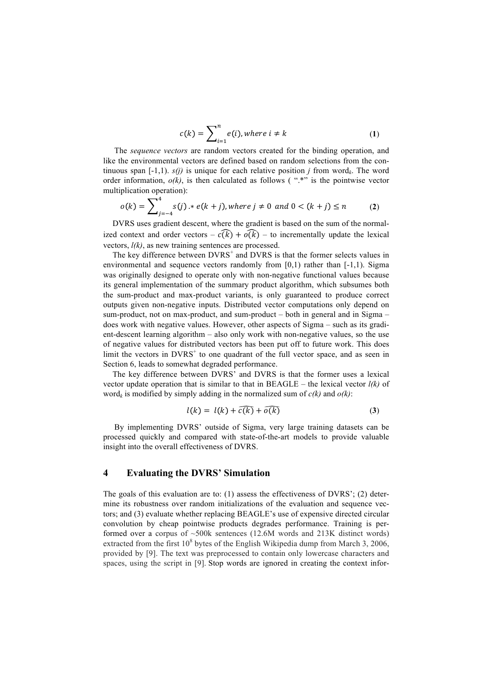$$
c(k) = \sum_{i=1}^{n} e(i), \text{ where } i \neq k \tag{1}
$$

The *sequence vectors* are random vectors created for the binding operation, and like the environmental vectors are defined based on random selections from the continuous span  $[-1,1)$ .  $s(j)$  is unique for each relative position *j* from word<sub>k</sub>. The word order information,  $o(k)$ , is then calculated as follows (" $\cdot$ "" is the pointwise vector multiplication operation):

$$
o(k) = \sum_{j=-4}^{4} s(j) * e(k+j), \text{ where } j \neq 0 \text{ and } 0 < (k+j) \leq n \tag{2}
$$

DVRS uses gradient descent, where the gradient is based on the sum of the normalized context and order vectors –  $c(k) + o(k)$  – to incrementally update the lexical vectors, *l(k)*, as new training sentences are processed.

The key difference between DVRS<sup>+</sup> and DVRS is that the former selects values in environmental and sequence vectors randomly from  $[0,1)$  rather than  $[-1,1)$ . Sigma was originally designed to operate only with non-negative functional values because its general implementation of the summary product algorithm, which subsumes both the sum-product and max-product variants, is only guaranteed to produce correct outputs given non-negative inputs. Distributed vector computations only depend on sum-product, not on max-product, and sum-product – both in general and in Sigma – does work with negative values. However, other aspects of Sigma – such as its gradient-descent learning algorithm – also only work with non-negative values, so the use of negative values for distributed vectors has been put off to future work. This does limit the vectors in  $DVRS<sup>+</sup>$  to one quadrant of the full vector space, and as seen in Section 6, leads to somewhat degraded performance.

The key difference between DVRS' and DVRS is that the former uses a lexical vector update operation that is similar to that in  $BEAGLE$  – the lexical vector  $l(k)$  of word<sub>k</sub> is modified by simply adding in the normalized sum of  $c(k)$  and  $o(k)$ :

$$
l(k) = l(k) + \widehat{c(k)} + \widehat{o(k)}
$$
 (3)

By implementing DVRS' outside of Sigma, very large training datasets can be processed quickly and compared with state-of-the-art models to provide valuable insight into the overall effectiveness of DVRS.

#### **4 Evaluating the DVRS' Simulation**

The goals of this evaluation are to: (1) assess the effectiveness of DVRS'; (2) determine its robustness over random initializations of the evaluation and sequence vectors; and (3) evaluate whether replacing BEAGLE's use of expensive directed circular convolution by cheap pointwise products degrades performance. Training is performed over a corpus of  $\sim$ 500k sentences (12.6M words and 213K distinct words) extracted from the first  $10^8$  bytes of the English Wikipedia dump from March 3, 2006, provided by [9]. The text was preprocessed to contain only lowercase characters and spaces, using the script in [9]. Stop words are ignored in creating the context infor-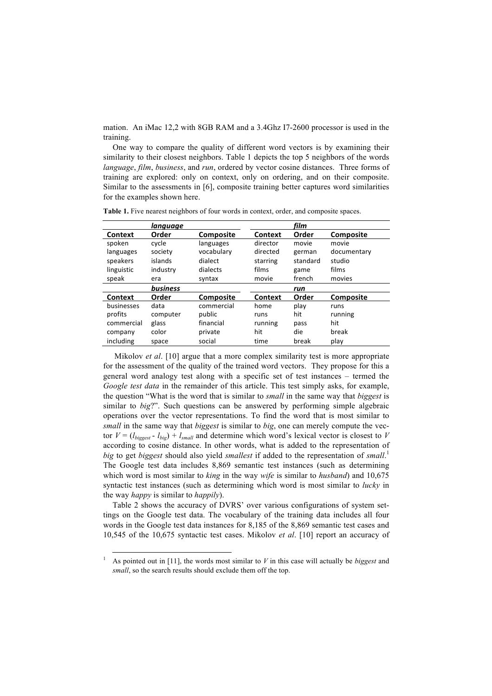mation. An iMac 12,2 with 8GB RAM and a 3.4Ghz I7-2600 processor is used in the training.

One way to compare the quality of different word vectors is by examining their similarity to their closest neighbors. Table 1 depicts the top 5 neighbors of the words *language*, *film*, *business*, and *run*, ordered by vector cosine distances. Three forms of training are explored: only on context, only on ordering, and on their composite. Similar to the assessments in [6], composite training better captures word similarities for the examples shown here.

|            | language |                  |                | film     |                  |
|------------|----------|------------------|----------------|----------|------------------|
| Context    | Order    | <b>Composite</b> | <b>Context</b> | Order    | <b>Composite</b> |
| spoken     | cycle    | languages        | director       | movie    | movie            |
| languages  | society  | vocabulary       | directed       | german   | documentary      |
| speakers   | islands  | dialect          | starring       | standard | studio           |
| linguistic | industry | dialects         | films          | game     | films            |
| speak      | era      | syntax           | movie          | french   | movies           |
|            | business |                  |                | run      |                  |
| Context    | Order    | <b>Composite</b> | <b>Context</b> | Order    | <b>Composite</b> |
| businesses | data     | commercial       | home           | play     | runs             |
| profits    | computer | public           | runs           | hit      | running          |
| commercial | glass    | financial        | running        | pass     | hit              |
| company    | color    | private          | hit            | die      | break            |
| including  | space    | social           | time           | break    | play             |

**Table 1.** Five nearest neighbors of four words in context, order, and composite spaces.

Mikolov *et al*. [10] argue that a more complex similarity test is more appropriate for the assessment of the quality of the trained word vectors. They propose for this a general word analogy test along with a specific set of test instances – termed the *Google test data* in the remainder of this article. This test simply asks, for example, the question "What is the word that is similar to *small* in the same way that *biggest* is similar to *big*?". Such questions can be answered by performing simple algebraic operations over the vector representations. To find the word that is most similar to *small* in the same way that *biggest* is similar to *big*, one can merely compute the vector  $V = (l_{biggest} - l_{big}) + l_{small}$  and determine which word's lexical vector is closest to *V* according to cosine distance. In other words, what is added to the representation of *big* to get *biggest* should also yield *smallest* if added to the representation of *small*. 1 The Google test data includes 8,869 semantic test instances (such as determining which word is most similar to *king* in the way *wife* is similar to *husband*) and 10,675 syntactic test instances (such as determining which word is most similar to *lucky* in the way *happy* is similar to *happily*).

Table 2 shows the accuracy of DVRS' over various configurations of system settings on the Google test data. The vocabulary of the training data includes all four words in the Google test data instances for 8,185 of the 8,869 semantic test cases and 10,545 of the 10,675 syntactic test cases. Mikolov *et al*. [10] report an accuracy of

 <sup>1</sup> As pointed out in [11], the words most similar to *<sup>V</sup>* in this case will actually be *biggest* and *small*, so the search results should exclude them off the top.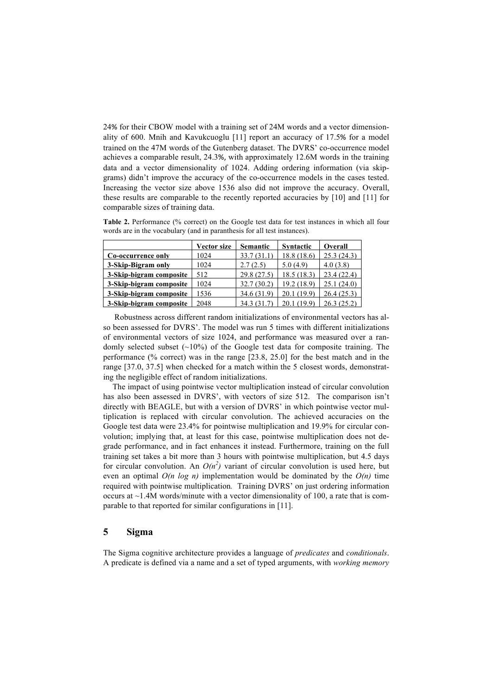24% for their CBOW model with a training set of 24M words and a vector dimensionality of 600. Mnih and Kavukcuoglu [11] report an accuracy of 17.5% for a model trained on the 47M words of the Gutenberg dataset. The DVRS' co-occurrence model achieves a comparable result, 24.3%, with approximately 12.6M words in the training data and a vector dimensionality of 1024. Adding ordering information (via skipgrams) didn't improve the accuracy of the co-occurrence models in the cases tested. Increasing the vector size above 1536 also did not improve the accuracy. Overall, these results are comparable to the recently reported accuracies by [10] and [11] for comparable sizes of training data.

Table 2. Performance (% correct) on the Google test data for test instances in which all four words are in the vocabulary (and in paranthesis for all test instances).

|                         | <b>Vector size</b> | <b>Semantic</b> | <b>Syntactic</b> | Overall     |
|-------------------------|--------------------|-----------------|------------------|-------------|
| Co-occurrence only      | 1024               | 33.7(31)        | 18.8 (18.6)      | 25.3(24.3)  |
| 3-Skip-Bigram only      | 1024               | 2.7(2.5)        | 5.0(4.9)         | 4.0(3.8)    |
| 3-Skip-bigram composite | 512                | 29.8 (27.5)     | 18.5(18.3)       | 23.4(22.4)  |
| 3-Skip-bigram composite | 1024               | 32.7(30.2)      | 19.2 (18.9)      | 25.1(24.0)  |
| 3-Skip-bigram composite | 1536               | 34.6 (31.9)     | (199)            | 26.4 (25.3) |
| 3-Skip-bigram composite | 2048               | 34.3 (3)        |                  | 26.3(25.2)  |

Robustness across different random initializations of environmental vectors has also been assessed for DVRS'. The model was run 5 times with different initializations of environmental vectors of size 1024, and performance was measured over a randomly selected subset  $(\sim 10\%)$  of the Google test data for composite training. The performance (% correct) was in the range [23.8, 25.0] for the best match and in the range [37.0, 37.5] when checked for a match within the 5 closest words, demonstrating the negligible effect of random initializations.

The impact of using pointwise vector multiplication instead of circular convolution has also been assessed in DVRS', with vectors of size 512. The comparison isn't directly with BEAGLE, but with a version of DVRS' in which pointwise vector multiplication is replaced with circular convolution. The achieved accuracies on the Google test data were 23.4% for pointwise multiplication and 19.9% for circular convolution; implying that, at least for this case, pointwise multiplication does not degrade performance, and in fact enhances it instead. Furthermore, training on the full training set takes a bit more than 3 hours with pointwise multiplication, but 4.5 days for circular convolution. An  $O(n^2)$  variant of circular convolution is used here, but even an optimal  $O(n \log n)$  implementation would be dominated by the  $O(n)$  time required with pointwise multiplication*.* Training DVRS' on just ordering information occurs at  $\sim$  1.4M words/minute with a vector dimensionality of 100, a rate that is comparable to that reported for similar configurations in [11].

#### **5 Sigma**

The Sigma cognitive architecture provides a language of *predicates* and *conditionals*. A predicate is defined via a name and a set of typed arguments, with *working memory*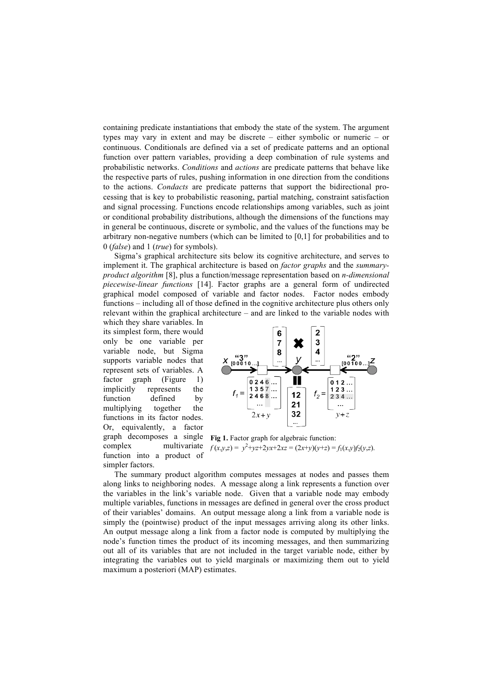containing predicate instantiations that embody the state of the system. The argument types may vary in extent and may be discrete – either symbolic or numeric – or continuous. Conditionals are defined via a set of predicate patterns and an optional function over pattern variables, providing a deep combination of rule systems and probabilistic networks. *Conditions* and *actions* are predicate patterns that behave like the respective parts of rules, pushing information in one direction from the conditions to the actions. *Condacts* are predicate patterns that support the bidirectional processing that is key to probabilistic reasoning, partial matching, constraint satisfaction and signal processing. Functions encode relationships among variables, such as joint or conditional probability distributions, although the dimensions of the functions may in general be continuous, discrete or symbolic, and the values of the functions may be arbitrary non-negative numbers (which can be limited to [0,1] for probabilities and to 0 (*false*) and 1 (*true*) for symbols).

Sigma's graphical architecture sits below its cognitive architecture, and serves to implement it. The graphical architecture is based on *factor graphs* and the *summaryproduct algorithm* [8], plus a function/message representation based on *n-dimensional piecewise-linear functions* [14]. Factor graphs are a general form of undirected graphical model composed of variable and factor nodes. Factor nodes embody functions – including all of those defined in the cognitive architecture plus others only relevant within the graphical architecture – and are linked to the variable nodes with

which they share variables. In its simplest form, there would only be one variable per variable node, but Sigma supports variable nodes that represent sets of variables. A factor graph (Figure 1) implicitly represents the function defined by multiplying together the functions in its factor nodes. Or, equivalently, a factor graph decomposes a single complex multivariate function into a product of simpler factors.



**Fig 1.** Factor graph for algebraic function:  $f(x,y,z) = y^2 + yz + 2yx + 2xz = (2x+y)(y+z) = f_1(x,y)f_2(y,z).$ 

The summary product algorithm computes messages at nodes and passes them along links to neighboring nodes. A message along a link represents a function over the variables in the link's variable node. Given that a variable node may embody multiple variables, functions in messages are defined in general over the cross product of their variables' domains. An output message along a link from a variable node is simply the (pointwise) product of the input messages arriving along its other links. An output message along a link from a factor node is computed by multiplying the node's function times the product of its incoming messages, and then summarizing out all of its variables that are not included in the target variable node, either by integrating the variables out to yield marginals or maximizing them out to yield maximum a posteriori (MAP) estimates.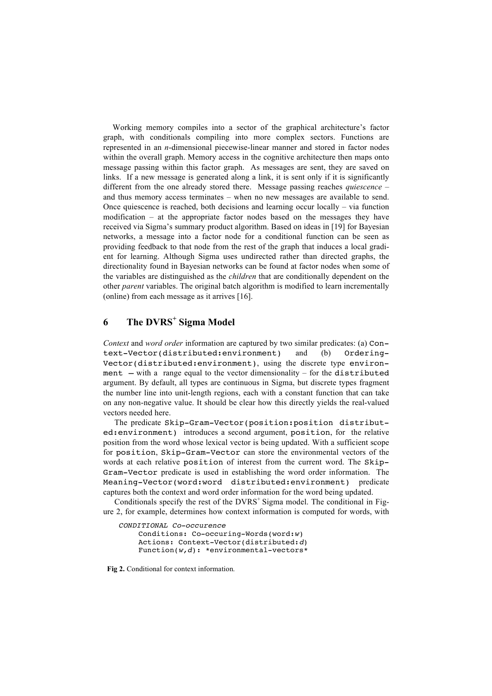Working memory compiles into a sector of the graphical architecture's factor graph, with conditionals compiling into more complex sectors. Functions are represented in an *n*-dimensional piecewise-linear manner and stored in factor nodes within the overall graph. Memory access in the cognitive architecture then maps onto message passing within this factor graph. As messages are sent, they are saved on links. If a new message is generated along a link, it is sent only if it is significantly different from the one already stored there. Message passing reaches *quiescence* – and thus memory access terminates – when no new messages are available to send. Once quiescence is reached, both decisions and learning occur locally – via function modification – at the appropriate factor nodes based on the messages they have received via Sigma's summary product algorithm. Based on ideas in [19] for Bayesian networks, a message into a factor node for a conditional function can be seen as providing feedback to that node from the rest of the graph that induces a local gradient for learning. Although Sigma uses undirected rather than directed graphs, the directionality found in Bayesian networks can be found at factor nodes when some of the variables are distinguished as the *children* that are conditionally dependent on the other *parent* variables. The original batch algorithm is modified to learn incrementally (online) from each message as it arrives [16].

## **6 The DVRS<sup>+</sup> Sigma Model**

*Context* and *word order* information are captured by two similar predicates: (a) Context-Vector(distributed:environment) and (b) Ordering-Vector(distributed:environment), using the discrete type environment  $-$  with a range equal to the vector dimensionality  $-$  for the distributed argument. By default, all types are continuous in Sigma, but discrete types fragment the number line into unit-length regions, each with a constant function that can take on any non-negative value. It should be clear how this directly yields the real-valued vectors needed here.

The predicate Skip-Gram-Vector(position:position distributed:environment) introduces a second argument, position, for the relative position from the word whose lexical vector is being updated. With a sufficient scope for position, Skip-Gram-Vector can store the environmental vectors of the words at each relative position of interest from the current word. The Skip-Gram-Vector predicate is used in establishing the word order information. The Meaning-Vector(word:word distributed:environment) predicate captures both the context and word order information for the word being updated.

Conditionals specify the rest of the DVRS<sup>+</sup> Sigma model. The conditional in Figure 2, for example, determines how context information is computed for words, with

| CONDITIONAL Co-occurence                    |
|---------------------------------------------|
| Conditions: $Co-occuring-Words(word; w)$    |
| Actions: Context-Vector(distributed:d)      |
| Function( $w, d$ ): *environmental-vectors* |

**Fig 2.** Conditional for context information.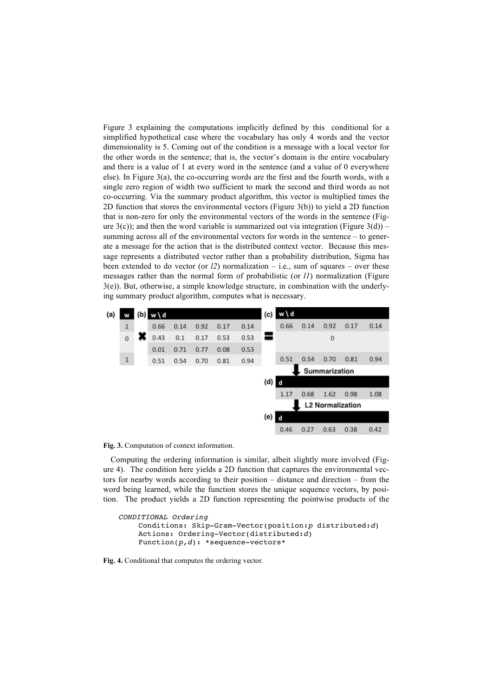Figure 3 explaining the computations implicitly defined by this conditional for a simplified hypothetical case where the vocabulary has only 4 words and the vector dimensionality is 5. Coming out of the condition is a message with a local vector for the other words in the sentence; that is, the vector's domain is the entire vocabulary and there is a value of 1 at every word in the sentence (and a value of 0 everywhere else). In Figure 3(a), the co-occurring words are the first and the fourth words, with a single zero region of width two sufficient to mark the second and third words as not co-occurring. Via the summary product algorithm, this vector is multiplied times the 2D function that stores the environmental vectors (Figure 3(b)) to yield a 2D function that is non-zero for only the environmental vectors of the words in the sentence (Figure  $3(c)$ ; and then the word variable is summarized out via integration (Figure  $3(d)$ ) – summing across all of the environmental vectors for words in the sentence – to generate a message for the action that is the distributed context vector. Because this message represents a distributed vector rather than a probability distribution, Sigma has been extended to do vector (or  $l2$ ) normalization – i.e., sum of squares – over these messages rather than the normal form of probabilistic (or *l1*) normalization (Figure 3(e)). But, otherwise, a simple knowledge structure, in combination with the underlying summary product algorithm, computes what is necessary.



#### **Fig. 3.** Computation of context information.

Computing the ordering information is similar, albeit slightly more involved (Figure 4). The condition here yields a 2D function that captures the environmental vectors for nearby words according to their position – distance and direction – from the word being learned, while the function stores the unique sequence vectors, by position. The product yields a 2D function representing the pointwise products of the

```
CONDITIONAL Ordering
  Conditions: Skip-Gram-Vector(position:p distributed:d)
  Actions: Ordering-Vector(distributed:d)
  Function(p,d): *sequence-vectors*
```
**Fig. 4.** Conditional that computes the ordering vector.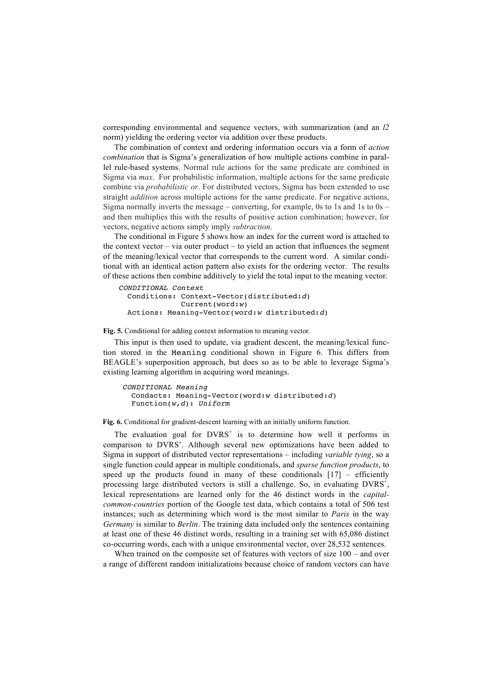corresponding environmental and sequence vectors, with summarization (and an *l2* norm) yielding the ordering vector via addition over these products.

The combination of context and ordering information occurs via a form of *action combination* that is Sigma's generalization of how multiple actions combine in parallel rule-based systems. Normal rule actions for the same predicate are combined in Sigma via *max*. For probabilistic information, multiple actions for the same predicate combine via *probabilistic or*. For distributed vectors, Sigma has been extended to use straight *addition* across multiple actions for the same predicate. For negative actions, Sigma normally inverts the message – converting, for example, 0s to 1s and 1s to  $0s$  – and then multiplies this with the results of positive action combination; however, for vectors, negative actions simply imply *subtraction*.

The conditional in Figure 5 shows how an index for the current word is attached to the context vector – via outer product – to yield an action that influences the segment of the meaning/lexical vector that corresponds to the current word. A similar conditional with an identical action pattern also exists for the ordering vector. The results of these actions then combine additively to yield the total input to the meaning vector.

```
CONDITIONAL Context
 Conditions: Context-Vector(distributed:d)
             Current(word:w)
Actions: Meaning-Vector(word:w distributed:d)
```
**Fig. 5.** Conditional for adding context information to meaning vector.

This input is then used to update, via gradient descent, the meaning/lexical function stored in the Meaning conditional shown in Figure 6. This differs from BEAGLE's superposition approach, but does so as to be able to leverage Sigma's existing learning algorithm in acquiring word meanings.

```
CONDITIONAL Meaning
 Condacts: Meaning-Vector(word:w distributed:d)
 Function(w,d): Uniform
```
Fig. 6. Conditional for gradient-descent learning with an initially uniform function.

The evaluation goal for  $DVRS<sup>+</sup>$  is to determine how well it performs in comparison to DVRS'. Although several new optimizations have been added to Sigma in support of distributed vector representations – including *variable tying*, so a single function could appear in multiple conditionals, and *sparse function products*, to speed up the products found in many of these conditionals  $[17]$  – efficiently processing large distributed vectors is still a challenge. So, in evaluating DVRS<sup>+</sup>, lexical representations are learned only for the 46 distinct words in the *capitalcommon-countries* portion of the Google test data, which contains a total of 506 test instances; such as determining which word is the most similar to *Paris* in the way *Germany* is similar to *Berlin*. The training data included only the sentences containing at least one of these 46 distinct words, resulting in a training set with 65,086 distinct co-occurring words, each with a unique environmental vector, over 28,532 sentences.

When trained on the composite set of features with vectors of size  $100 -$  and over a range of different random initializations because choice of random vectors can have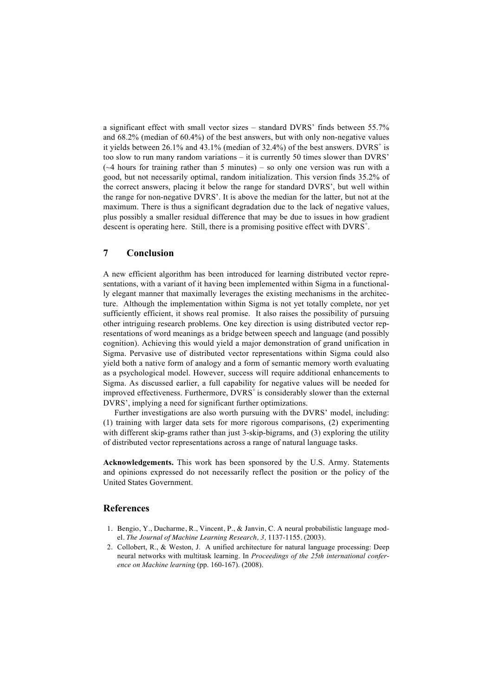a significant effect with small vector sizes – standard DVRS' finds between 55.7% and 68.2% (median of 60.4%) of the best answers, but with only non-negative values it yields between 26.1% and 43.1% (median of 32.4%) of the best answers. DVRS<sup>+</sup> is too slow to run many random variations – it is currently 50 times slower than DVRS' (~4 hours for training rather than 5 minutes) – so only one version was run with a good, but not necessarily optimal, random initialization. This version finds 35.2% of the correct answers, placing it below the range for standard DVRS', but well within the range for non-negative DVRS'. It is above the median for the latter, but not at the maximum. There is thus a significant degradation due to the lack of negative values, plus possibly a smaller residual difference that may be due to issues in how gradient descent is operating here. Still, there is a promising positive effect with DVRS<sup>+</sup>.

### **7 Conclusion**

A new efficient algorithm has been introduced for learning distributed vector representations, with a variant of it having been implemented within Sigma in a functionally elegant manner that maximally leverages the existing mechanisms in the architecture. Although the implementation within Sigma is not yet totally complete, nor yet sufficiently efficient, it shows real promise. It also raises the possibility of pursuing other intriguing research problems. One key direction is using distributed vector representations of word meanings as a bridge between speech and language (and possibly cognition). Achieving this would yield a major demonstration of grand unification in Sigma. Pervasive use of distributed vector representations within Sigma could also yield both a native form of analogy and a form of semantic memory worth evaluating as a psychological model. However, success will require additional enhancements to Sigma. As discussed earlier, a full capability for negative values will be needed for improved effectiveness. Furthermore, DVRS<sup>+</sup> is considerably slower than the external DVRS', implying a need for significant further optimizations.

Further investigations are also worth pursuing with the DVRS' model, including: (1) training with larger data sets for more rigorous comparisons, (2) experimenting with different skip-grams rather than just 3-skip-bigrams, and (3) exploring the utility of distributed vector representations across a range of natural language tasks.

**Acknowledgements.** This work has been sponsored by the U.S. Army. Statements and opinions expressed do not necessarily reflect the position or the policy of the United States Government.

#### **References**

- 1. Bengio, Y., Ducharme, R., Vincent, P., & Janvin, C. A neural probabilistic language model. *The Journal of Machine Learning Research, 3,* 1137-1155. (2003).
- 2. Collobert, R., & Weston, J. A unified architecture for natural language processing: Deep neural networks with multitask learning. In *Proceedings of the 25th international conference on Machine learning* (pp. 160-167). (2008).